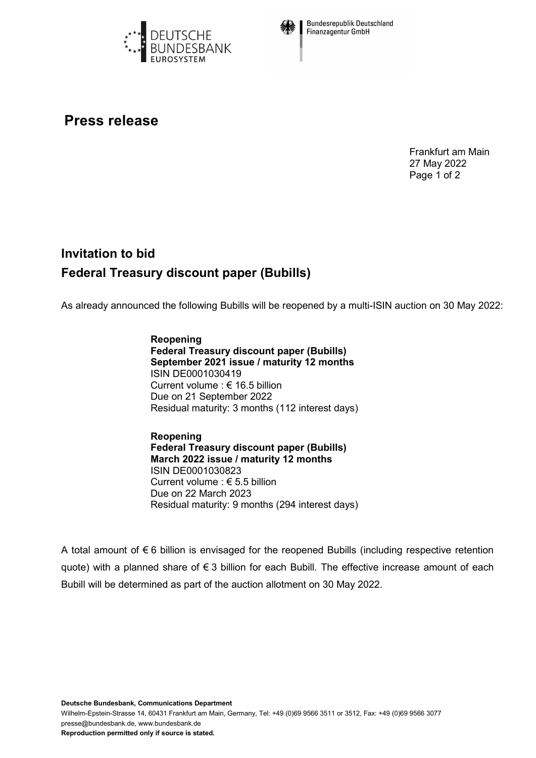



**Bundesrepublik Deutschland Finanzagentur GmbH** 

## **Press release**

Frankfurt am Main 27 May 2022 Page 1 of 2

## **Invitation to bid Federal Treasury discount paper (Bubills)**

As already announced the following Bubills will be reopened by a multi-ISIN auction on 30 May 2022:

**Reopening Federal Treasury discount paper (Bubills) September 2021 issue / maturity 12 months** ISIN DE0001030419 Current volume : € 16.5 billion Due on 21 September 2022 Residual maturity: 3 months (112 interest days)

**Reopening Federal Treasury discount paper (Bubills) March 2022 issue / maturity 12 months** ISIN DE0001030823 Current volume : € 5.5 billion Due on 22 March 2023 Residual maturity: 9 months (294 interest days)

A total amount of  $\epsilon$  6 billion is envisaged for the reopened Bubills (including respective retention quote) with a planned share of € 3 billion for each Bubill. The effective increase amount of each Bubill will be determined as part of the auction allotment on 30 May 2022.

Wilhelm-Epstein-Strasse 14, 60431 Frankfurt am Main, Germany, Tel: +49 (0)69 9566 3511 or 3512, Fax: +49 (0)69 9566 3077 presse@bundesbank.de, www.bundesbank.de